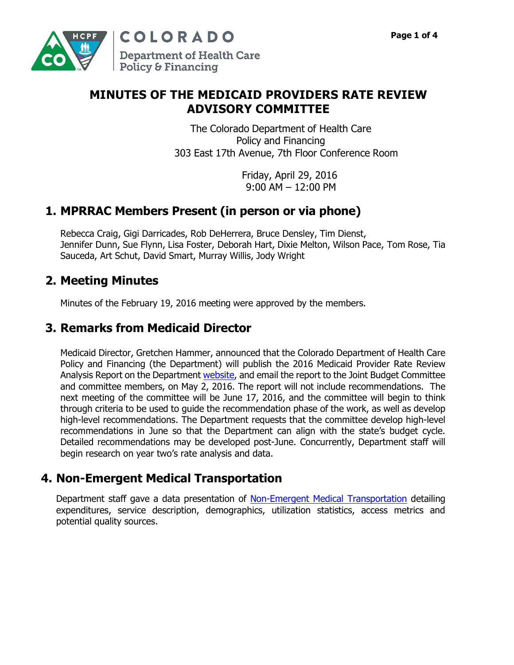COLORADO **Department of Health Care** Policy & Financing

### **MINUTES OF THE MEDICAID PROVIDERS RATE REVIEW ADVISORY COMMITTEE**

The Colorado Department of Health Care Policy and Financing 303 East 17th Avenue, 7th Floor Conference Room

> Friday, April 29, 2016 9:00 AM – 12:00 PM

# **1. MPRRAC Members Present (in person or via phone)**

Rebecca Craig, Gigi Darricades, Rob DeHerrera, Bruce Densley, Tim Dienst, Jennifer Dunn, Sue Flynn, Lisa Foster, Deborah Hart, Dixie Melton, Wilson Pace, Tom Rose, Tia Sauceda, Art Schut, David Smart, Murray Willis, Jody Wright

## **2. Meeting Minutes**

Minutes of the February 19, 2016 meeting were approved by the members.

# **3. Remarks from Medicaid Director**

Medicaid Director, Gretchen Hammer, announced that the Colorado Department of Health Care Policy and Financing (the Department) will publish the 2016 Medicaid Provider Rate Review Analysis Report on the Department [website,](https://www.colorado.gov/pacific/hcpf/medicaid-provider-rate-review-advisory-committee) and email the report to the Joint Budget Committee and committee members, on May 2, 2016. The report will not include recommendations. The next meeting of the committee will be June 17, 2016, and the committee will begin to think through criteria to be used to guide the recommendation phase of the work, as well as develop high-level recommendations. The Department requests that the committee develop high-level recommendations in June so that the Department can align with the state's budget cycle. Detailed recommendations may be developed post-June. Concurrently, Department staff will begin research on year two's rate analysis and data.

## **4. Non-Emergent Medical Transportation**

Department staff gave a data presentation of [Non-Emergent Medical Transportation](https://www.colorado.gov/pacific/sites/default/files/MPRRAC%20Presentation%20-%204-29-2016.pdf) detailing expenditures, service description, demographics, utilization statistics, access metrics and potential quality sources.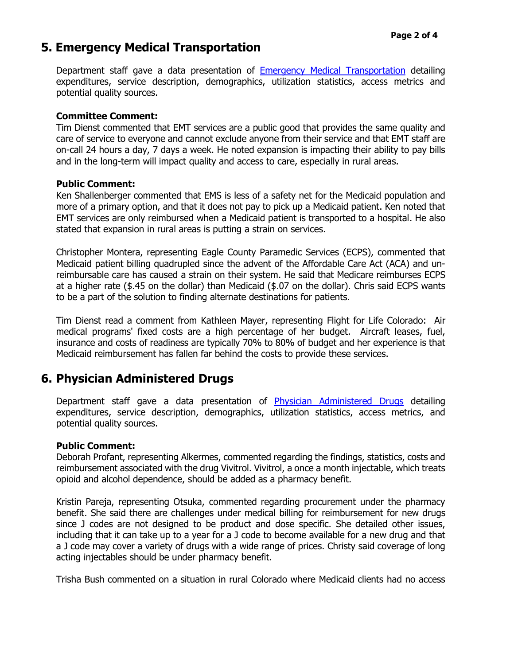### **5. Emergency Medical Transportation**

Department staff gave a data presentation of [Emergency Medical Transportation](https://www.colorado.gov/pacific/sites/default/files/MPRRAC%20Presentation%20-%204-29-2016.pdf) detailing expenditures, service description, demographics, utilization statistics, access metrics and potential quality sources.

#### **Committee Comment:**

Tim Dienst commented that EMT services are a public good that provides the same quality and care of service to everyone and cannot exclude anyone from their service and that EMT staff are on-call 24 hours a day, 7 days a week. He noted expansion is impacting their ability to pay bills and in the long-term will impact quality and access to care, especially in rural areas.

#### **Public Comment:**

Ken Shallenberger commented that EMS is less of a safety net for the Medicaid population and more of a primary option, and that it does not pay to pick up a Medicaid patient. Ken noted that EMT services are only reimbursed when a Medicaid patient is transported to a hospital. He also stated that expansion in rural areas is putting a strain on services.

Christopher Montera, representing Eagle County Paramedic Services (ECPS), commented that Medicaid patient billing quadrupled since the advent of the Affordable Care Act (ACA) and unreimbursable care has caused a strain on their system. He said that Medicare reimburses ECPS at a higher rate (\$.45 on the dollar) than Medicaid (\$.07 on the dollar). Chris said ECPS wants to be a part of the solution to finding alternate destinations for patients.

Tim Dienst read a comment from Kathleen Mayer, representing Flight for Life Colorado: Air medical programs' fixed costs are a high percentage of her budget. Aircraft leases, fuel, insurance and costs of readiness are typically 70% to 80% of budget and her experience is that Medicaid reimbursement has fallen far behind the costs to provide these services.

### **6. Physician Administered Drugs**

Department staff gave a data presentation of [Physician Administered Drugs](https://www.colorado.gov/pacific/sites/default/files/MPRRAC%20Presentation%20-%204-29-2016.pdf) detailing expenditures, service description, demographics, utilization statistics, access metrics, and potential quality sources.

#### **Public Comment:**

Deborah Profant, representing Alkermes, commented regarding the findings, statistics, costs and reimbursement associated with the drug Vivitrol. Vivitrol, a once a month injectable, which treats opioid and alcohol dependence, should be added as a pharmacy benefit.

Kristin Pareja, representing Otsuka, commented regarding procurement under the pharmacy benefit. She said there are challenges under medical billing for reimbursement for new drugs since J codes are not designed to be product and dose specific. She detailed other issues, including that it can take up to a year for a J code to become available for a new drug and that a J code may cover a variety of drugs with a wide range of prices. Christy said coverage of long acting injectables should be under pharmacy benefit.

Trisha Bush commented on a situation in rural Colorado where Medicaid clients had no access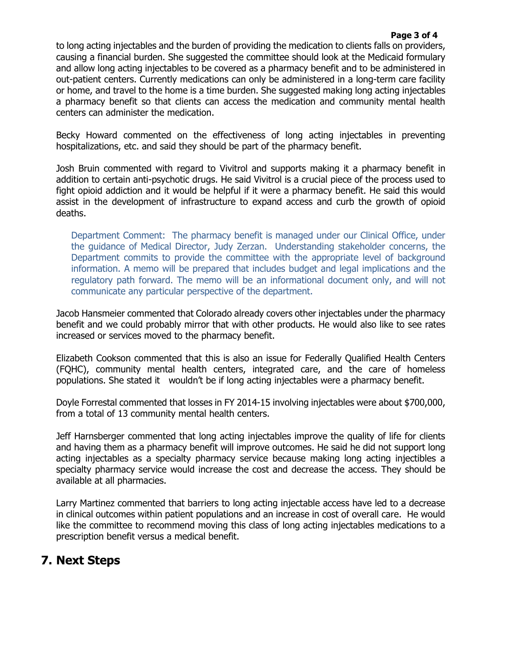#### **Page 3 of 4**

to long acting injectables and the burden of providing the medication to clients falls on providers, causing a financial burden. She suggested the committee should look at the Medicaid formulary and allow long acting injectables to be covered as a pharmacy benefit and to be administered in out-patient centers. Currently medications can only be administered in a long-term care facility or home, and travel to the home is a time burden. She suggested making long acting injectables a pharmacy benefit so that clients can access the medication and community mental health centers can administer the medication.

Becky Howard commented on the effectiveness of long acting injectables in preventing hospitalizations, etc. and said they should be part of the pharmacy benefit.

Josh Bruin commented with regard to Vivitrol and supports making it a pharmacy benefit in addition to certain anti-psychotic drugs. He said Vivitrol is a crucial piece of the process used to fight opioid addiction and it would be helpful if it were a pharmacy benefit. He said this would assist in the development of infrastructure to expand access and curb the growth of opioid deaths.

Department Comment: The pharmacy benefit is managed under our Clinical Office, under the guidance of Medical Director, Judy Zerzan. Understanding stakeholder concerns, the Department commits to provide the committee with the appropriate level of background information. A memo will be prepared that includes budget and legal implications and the regulatory path forward. The memo will be an informational document only, and will not communicate any particular perspective of the department.

Jacob Hansmeier commented that Colorado already covers other injectables under the pharmacy benefit and we could probably mirror that with other products. He would also like to see rates increased or services moved to the pharmacy benefit.

Elizabeth Cookson commented that this is also an issue for Federally Qualified Health Centers (FQHC), community mental health centers, integrated care, and the care of homeless populations. She stated it wouldn't be if long acting injectables were a pharmacy benefit.

Doyle Forrestal commented that losses in FY 2014-15 involving injectables were about \$700,000, from a total of 13 community mental health centers.

Jeff Harnsberger commented that long acting injectables improve the quality of life for clients and having them as a pharmacy benefit will improve outcomes. He said he did not support long acting injectables as a specialty pharmacy service because making long acting injectibles a specialty pharmacy service would increase the cost and decrease the access. They should be available at all pharmacies.

Larry Martinez commented that barriers to long acting injectable access have led to a decrease in clinical outcomes within patient populations and an increase in cost of overall care. He would like the committee to recommend moving this class of long acting injectables medications to a prescription benefit versus a medical benefit.

### **7. Next Steps**